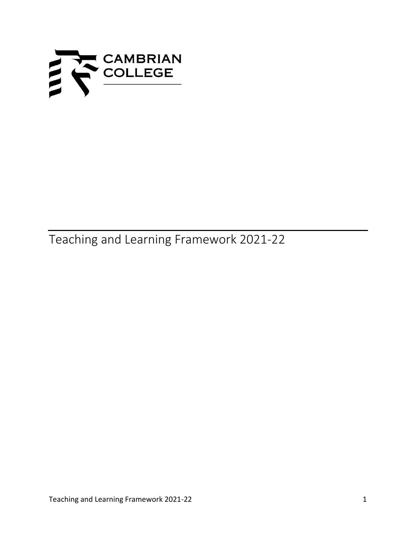

Teaching and Learning Framework 2021-22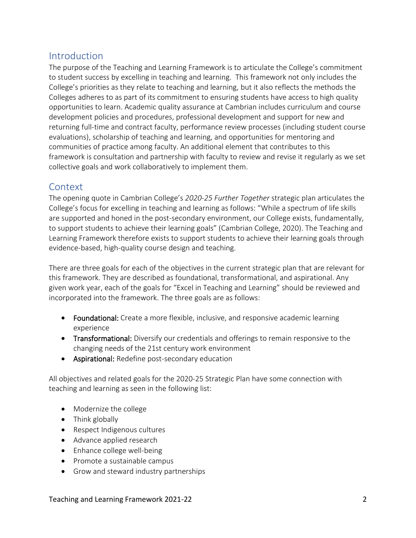# Introduction

The purpose of the Teaching and Learning Framework is to articulate the College's commitment to student success by excelling in teaching and learning. This framework not only includes the College's priorities as they relate to teaching and learning, but it also reflects the methods the Colleges adheres to as part of its commitment to ensuring students have access to high quality opportunities to learn. Academic quality assurance at Cambrian includes curriculum and course development policies and procedures, professional development and support for new and returning full-time and contract faculty, performance review processes (including student course evaluations), scholarship of teaching and learning, and opportunities for mentoring and communities of practice among faculty. An additional element that contributes to this framework is consultation and partnership with faculty to review and revise it regularly as we set collective goals and work collaboratively to implement them.

## **Context**

The opening quote in Cambrian College's *2020-25 Further Together* strategic plan articulates the College's focus for excelling in teaching and learning as follows: "While a spectrum of life skills are supported and honed in the post-secondary environment, our College exists, fundamentally, to support students to achieve their learning goals" (Cambrian College, 2020). The Teaching and Learning Framework therefore exists to support students to achieve their learning goals through evidence-based, high-quality course design and teaching.

There are three goals for each of the objectives in the current strategic plan that are relevant for this framework. They are described as foundational, transformational, and aspirational. Any given work year, each of the goals for "Excel in Teaching and Learning" should be reviewed and incorporated into the framework. The three goals are as follows:

- Foundational: Create a more flexible, inclusive, and responsive academic learning experience
- Transformational: Diversify our credentials and offerings to remain responsive to the changing needs of the 21st century work environment
- Aspirational: Redefine post-secondary education

All objectives and related goals for the 2020-25 Strategic Plan have some connection with teaching and learning as seen in the following list:

- Modernize the college
- Think globally
- Respect Indigenous cultures
- Advance applied research
- Enhance college well-being
- Promote a sustainable campus
- Grow and steward industry partnerships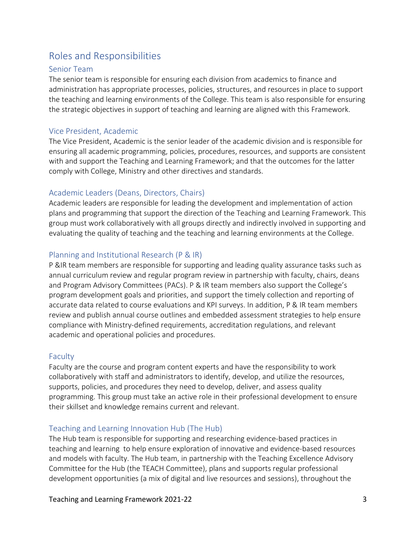# Roles and Responsibilities

#### Senior Team

The senior team is responsible for ensuring each division from academics to finance and administration has appropriate processes, policies, structures, and resources in place to support the teaching and learning environments of the College. This team is also responsible for ensuring the strategic objectives in support of teaching and learning are aligned with this Framework.

#### Vice President, Academic

The Vice President, Academic is the senior leader of the academic division and is responsible for ensuring all academic programming, policies, procedures, resources, and supports are consistent with and support the Teaching and Learning Framework; and that the outcomes for the latter comply with College, Ministry and other directives and standards.

### Academic Leaders (Deans, Directors, Chairs)

Academic leaders are responsible for leading the development and implementation of action plans and programming that support the direction of the Teaching and Learning Framework. This group must work collaboratively with all groups directly and indirectly involved in supporting and evaluating the quality of teaching and the teaching and learning environments at the College.

### Planning and Institutional Research (P & IR)

P &IR team members are responsible for supporting and leading quality assurance tasks such as annual curriculum review and regular program review in partnership with faculty, chairs, deans and Program Advisory Committees (PACs). P & IR team members also support the College's program development goals and priorities, and support the timely collection and reporting of accurate data related to course evaluations and KPI surveys. In addition, P & IR team members review and publish annual course outlines and embedded assessment strategies to help ensure compliance with Ministry-defined requirements, accreditation regulations, and relevant academic and operational policies and procedures.

### Faculty

Faculty are the course and program content experts and have the responsibility to work collaboratively with staff and administrators to identify, develop, and utilize the resources, supports, policies, and procedures they need to develop, deliver, and assess quality programming. This group must take an active role in their professional development to ensure their skillset and knowledge remains current and relevant.

### Teaching and Learning Innovation Hub (The Hub)

The Hub team is responsible for supporting and researching evidence-based practices in teaching and learning to help ensure exploration of innovative and evidence-based resources and models with faculty. The Hub team, in partnership with the Teaching Excellence Advisory Committee for the Hub (the TEACH Committee), plans and supports regular professional development opportunities (a mix of digital and live resources and sessions), throughout the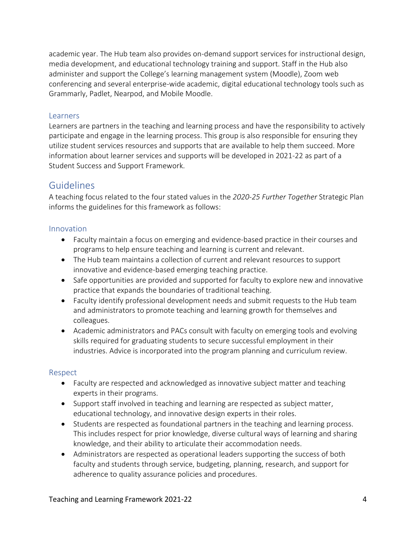academic year. The Hub team also provides on-demand support services for instructional design, media development, and educational technology training and support. Staff in the Hub also administer and support the College's learning management system (Moodle), Zoom web conferencing and several enterprise-wide academic, digital educational technology tools such as Grammarly, Padlet, Nearpod, and Mobile Moodle.

#### **Learners**

Learners are partners in the teaching and learning process and have the responsibility to actively participate and engage in the learning process. This group is also responsible for ensuring they utilize student services resources and supports that are available to help them succeed. More information about learner services and supports will be developed in 2021-22 as part of a Student Success and Support Framework.

## Guidelines

A teaching focus related to the four stated values in the *2020-25 Further Together* Strategic Plan informs the guidelines for this framework as follows:

#### Innovation

- Faculty maintain a focus on emerging and evidence-based practice in their courses and programs to help ensure teaching and learning is current and relevant.
- The Hub team maintains a collection of current and relevant resources to support innovative and evidence-based emerging teaching practice.
- Safe opportunities are provided and supported for faculty to explore new and innovative practice that expands the boundaries of traditional teaching.
- Faculty identify professional development needs and submit requests to the Hub team and administrators to promote teaching and learning growth for themselves and colleagues.
- Academic administrators and PACs consult with faculty on emerging tools and evolving skills required for graduating students to secure successful employment in their industries. Advice is incorporated into the program planning and curriculum review.

#### Respect

- Faculty are respected and acknowledged as innovative subject matter and teaching experts in their programs.
- Support staff involved in teaching and learning are respected as subject matter, educational technology, and innovative design experts in their roles.
- Students are respected as foundational partners in the teaching and learning process. This includes respect for prior knowledge, diverse cultural ways of learning and sharing knowledge, and their ability to articulate their accommodation needs.
- Administrators are respected as operational leaders supporting the success of both faculty and students through service, budgeting, planning, research, and support for adherence to quality assurance policies and procedures.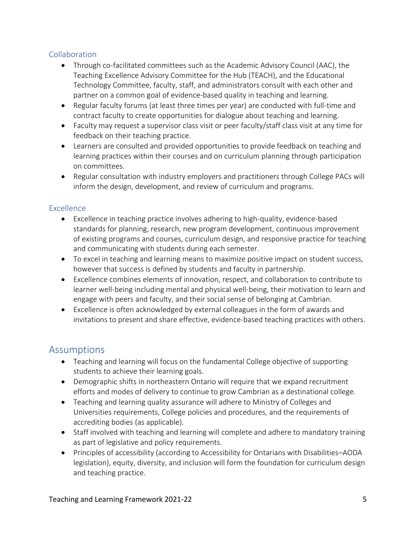#### Collaboration

- Through co-facilitated committees such as the Academic Advisory Council (AAC), the Teaching Excellence Advisory Committee for the Hub (TEACH), and the Educational Technology Committee, faculty, staff, and administrators consult with each other and partner on a common goal of evidence-based quality in teaching and learning.
- Regular faculty forums (at least three times per year) are conducted with full-time and contract faculty to create opportunities for dialogue about teaching and learning.
- Faculty may request a supervisor class visit or peer faculty/staff class visit at any time for feedback on their teaching practice.
- Learners are consulted and provided opportunities to provide feedback on teaching and learning practices within their courses and on curriculum planning through participation on committees.
- Regular consultation with industry employers and practitioners through College PACs will inform the design, development, and review of curriculum and programs.

#### Excellence

- Excellence in teaching practice involves adhering to high-quality, evidence-based standards for planning, research, new program development, continuous improvement of existing programs and courses, curriculum design, and responsive practice for teaching and communicating with students during each semester.
- To excel in teaching and learning means to maximize positive impact on student success, however that success is defined by students and faculty in partnership.
- Excellence combines elements of innovation, respect, and collaboration to contribute to learner well-being including mental and physical well-being, their motivation to learn and engage with peers and faculty, and their social sense of belonging at Cambrian.
- Excellence is often acknowledged by external colleagues in the form of awards and invitations to present and share effective, evidence-based teaching practices with others.

## Assumptions

- Teaching and learning will focus on the fundamental College objective of supporting students to achieve their learning goals.
- Demographic shifts in northeastern Ontario will require that we expand recruitment efforts and modes of delivery to continue to grow Cambrian as a destinational college.
- Teaching and learning quality assurance will adhere to Ministry of Colleges and Universities requirements, College policies and procedures, and the requirements of accrediting bodies (as applicable).
- Staff involved with teaching and learning will complete and adhere to mandatory training as part of legislative and policy requirements.
- Principles of accessibility (according to Accessibility for Ontarians with Disabilities–AODA legislation), equity, diversity, and inclusion will form the foundation for curriculum design and teaching practice.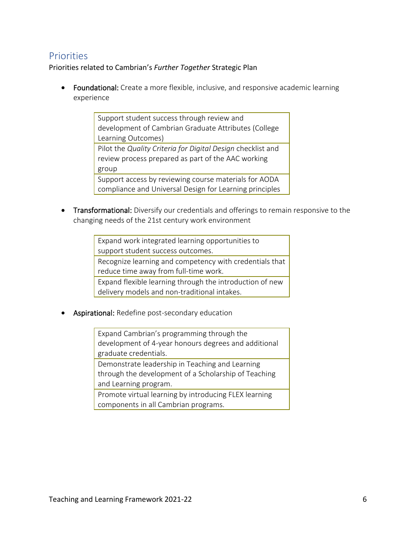# **Priorities**

Priorities related to Cambrian's *Further Together* Strategic Plan

• Foundational: Create a more flexible, inclusive, and responsive academic learning experience

> Support student success through review and development of Cambrian Graduate Attributes (College Learning Outcomes) Pilot the *Quality Criteria for Digital Design* checklist and review process prepared as part of the AAC working group Support access by reviewing course materials for AODA compliance and Universal Design for Learning principles

• Transformational: Diversify our credentials and offerings to remain responsive to the changing needs of the 21st century work environment

> Expand work integrated learning opportunities to support student success outcomes. Recognize learning and competency with credentials that reduce time away from full-time work. Expand flexible learning through the introduction of new delivery models and non-traditional intakes.

**Aspirational:** Redefine post-secondary education

Expand Cambrian's programming through the development of 4-year honours degrees and additional graduate credentials.

Demonstrate leadership in Teaching and Learning through the development of a Scholarship of Teaching and Learning program.

Promote virtual learning by introducing FLEX learning components in all Cambrian programs.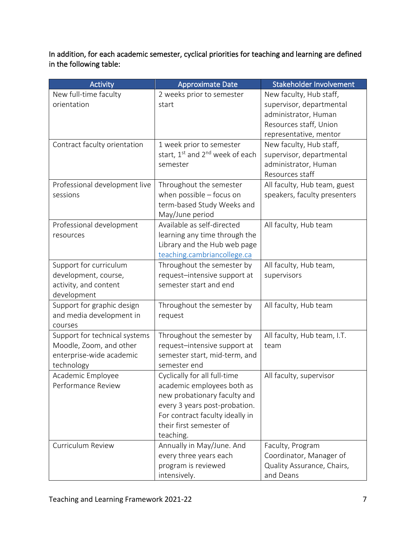In addition, for each academic semester, cyclical priorities for teaching and learning are defined in the following table:

| <b>Activity</b>               | <b>Approximate Date</b>                                 | Stakeholder Involvement      |
|-------------------------------|---------------------------------------------------------|------------------------------|
| New full-time faculty         | 2 weeks prior to semester                               | New faculty, Hub staff,      |
| orientation                   | start                                                   | supervisor, departmental     |
|                               |                                                         | administrator, Human         |
|                               |                                                         | Resources staff, Union       |
|                               |                                                         | representative, mentor       |
| Contract faculty orientation  | 1 week prior to semester                                | New faculty, Hub staff,      |
|                               | start, 1 <sup>st</sup> and 2 <sup>nd</sup> week of each | supervisor, departmental     |
|                               | semester                                                | administrator, Human         |
|                               |                                                         | Resources staff              |
| Professional development live | Throughout the semester                                 | All faculty, Hub team, guest |
| sessions                      | when possible $-$ focus on                              | speakers, faculty presenters |
|                               | term-based Study Weeks and                              |                              |
|                               | May/June period                                         |                              |
| Professional development      | Available as self-directed                              | All faculty, Hub team        |
| resources                     | learning any time through the                           |                              |
|                               | Library and the Hub web page                            |                              |
|                               | teaching.cambriancollege.ca                             |                              |
| Support for curriculum        | Throughout the semester by                              | All faculty, Hub team,       |
| development, course,          | request-intensive support at                            | supervisors                  |
| activity, and content         | semester start and end                                  |                              |
| development                   |                                                         |                              |
| Support for graphic design    | Throughout the semester by                              | All faculty, Hub team        |
| and media development in      | request                                                 |                              |
| courses                       |                                                         |                              |
| Support for technical systems | Throughout the semester by                              | All faculty, Hub team, I.T.  |
| Moodle, Zoom, and other       | request-intensive support at                            | team                         |
| enterprise-wide academic      | semester start, mid-term, and                           |                              |
| technology                    | semester end                                            |                              |
| Academic Employee             | Cyclically for all full-time                            | All faculty, supervisor      |
| Performance Review            | academic employees both as                              |                              |
|                               | new probationary faculty and                            |                              |
|                               | every 3 years post-probation.                           |                              |
|                               | For contract faculty ideally in                         |                              |
|                               | their first semester of                                 |                              |
|                               | teaching.                                               |                              |
| Curriculum Review             | Annually in May/June. And                               | Faculty, Program             |
|                               | every three years each                                  | Coordinator, Manager of      |
|                               | program is reviewed                                     | Quality Assurance, Chairs,   |
|                               | intensively.                                            | and Deans                    |